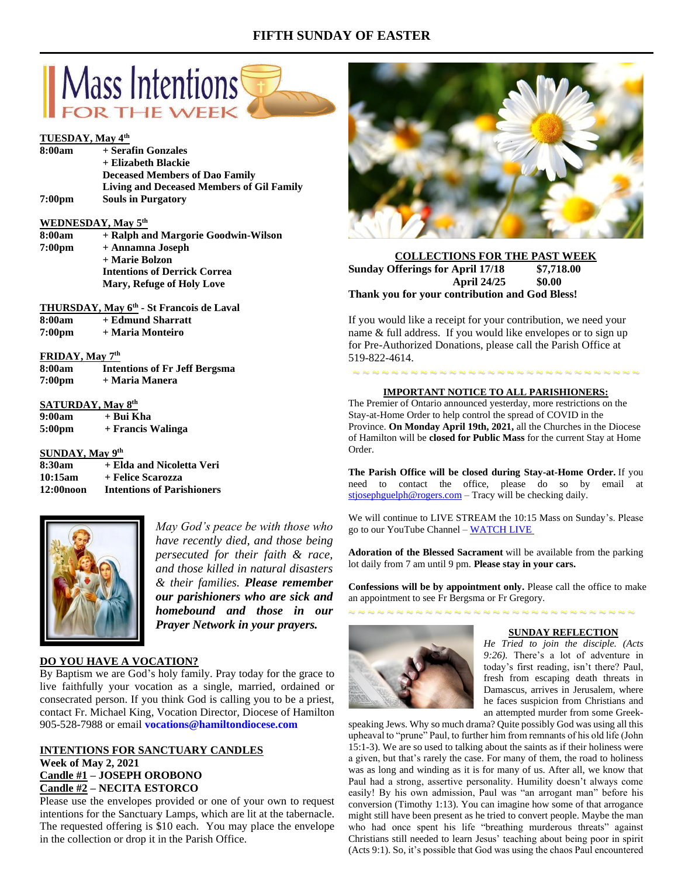## **FIFTH SUNDAY OF EASTER**



## **TUESDAY, May 4th**

| 8:00am                  | + Serafin Gonzales                                   |
|-------------------------|------------------------------------------------------|
|                         | + Elizabeth Blackie                                  |
|                         | <b>Deceased Members of Dao Family</b>                |
|                         | <b>Living and Deceased Members of Gil Family</b>     |
| 7:00 <sub>pm</sub>      | <b>Souls in Purgatory</b>                            |
|                         | WEDNESDAY, May 5 <sup>th</sup>                       |
| 8:00am                  | + Ralph and Margorie Goodwin-Wilson                  |
| 7:00pm                  | + Annamna Joseph                                     |
|                         | + Marie Bolzon                                       |
|                         | <b>Intentions of Derrick Correa</b>                  |
|                         | <b>Mary, Refuge of Holy Love</b>                     |
|                         | THURSDAY, May 6 <sup>th</sup> - St Francois de Laval |
| 8:00am                  | + Edmund Sharratt                                    |
| 7:00pm                  | + Maria Monteiro                                     |
| <b>FRIDAY, May 7th</b>  |                                                      |
|                         | 8:00am Intentions of Fr Jeff Bergsma                 |
| 7:00pm                  | + Maria Manera                                       |
| <b>CATIDDAV Mov Qth</b> |                                                      |

#### **SATURDAY, May 8 9:00am + Bui Kha**

| 7.uvaill | + Dui Ixiia       |
|----------|-------------------|
| 5:00pm   | + Francis Walinga |

**SUNDAY, May 9 th 8:30am + Elda and Nicoletta Veri 10:15am + Felice Scarozza 12:00noon Intentions of Parishioners**



*May God's peace be with those who have recently died, and those being persecuted for their faith & race, and those killed in natural disasters & their families. Please remember our parishioners who are sick and homebound and those in our Prayer Network in your prayers.*

## **DO YOU HAVE A VOCATION?**

By Baptism we are God's holy family. Pray today for the grace to live faithfully your vocation as a single, married, ordained or consecrated person. If you think God is calling you to be a priest, contact Fr. Michael King, Vocation Director, Diocese of Hamilton 905-528-7988 or email **vocations@hamiltondiocese.com** 

## **INTENTIONS FOR SANCTUARY CANDLES Week of May 2, 2021 Candle #1 – JOSEPH OROBONO Candle #2 – NECITA ESTORCO**

Please use the envelopes provided or one of your own to request intentions for the Sanctuary Lamps, which are lit at the tabernacle. The requested offering is \$10 each. You may place the envelope in the collection or drop it in the Parish Office.



## **COLLECTIONS FOR THE PAST WEEK Sunday Offerings for April 17/18 \$7,718.00 April 24/25 \$0.00 Thank you for your contribution and God Bless!**

If you would like a receipt for your contribution, we need your name & full address. If you would like envelopes or to sign up for Pre-Authorized Donations, please call the Parish Office at 519-822-4614.

# ~ ~ ~ ~ ~ ~ ~ ~ ~ ~ ~ ~ ~ ~ ~ ~ ~ ~ ~ ~ ~ ~ ~ ~ ~ ~ ~ ~ ~ ~ **IMPORTANT NOTICE TO ALL PARISHIONERS:**

The Premier of Ontario announced yesterday, more restrictions on the Stay-at-Home Order to help control the spread of COVID in the Province. **On Monday April 19th, 2021,** all the Churches in the Diocese of Hamilton will be **closed for Public Mass** for the current Stay at Home Order.

**The Parish Office will be closed during Stay-at-Home Order.** If you need to contact the office, please do so by email at [stjosephguelph@rogers.com](mailto:stjosephguelph@rogers.com) – Tracy will be checking daily.

We will continue to LIVE STREAM the 10:15 Mass on Sunday's. Please go to our YouTube Channel – [WATCH LIVE](https://www.youtube.com/channel/UCL59hxegD__FDJSdMDrt31w)

**Adoration of the Blessed Sacrament** will be available from the parking lot daily from 7 am until 9 pm. **Please stay in your cars.**

**Confessions will be by appointment only.** Please call the office to make an appointment to see Fr Bergsma or Fr Gregory.





#### **SUNDAY REFLECTION**

*He Tried to join the disciple. (Acts 9:26).* There's a lot of adventure in today's first reading, isn't there? Paul, fresh from escaping death threats in Damascus, arrives in Jerusalem, where he faces suspicion from Christians and an attempted murder from some Greek-

speaking Jews. Why so much drama? Quite possibly God was using all this upheaval to "prune" Paul, to further him from remnants of his old life (John 15:1-3). We are so used to talking about the saints as if their holiness were a given, but that's rarely the case. For many of them, the road to holiness was as long and winding as it is for many of us. After all, we know that Paul had a strong, assertive personality. Humility doesn't always come easily! By his own admission, Paul was "an arrogant man" before his conversion (Timothy 1:13). You can imagine how some of that arrogance might still have been present as he tried to convert people. Maybe the man who had once spent his life "breathing murderous threats" against Christians still needed to learn Jesus' teaching about being poor in spirit (Acts 9:1). So, it's possible that God was using the chaos Paul encountered